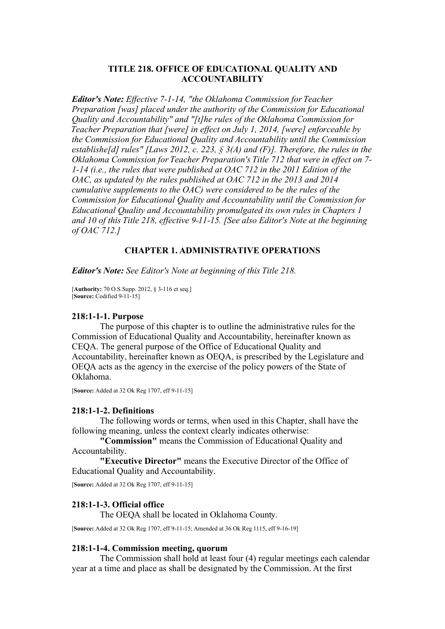### **TITLE 218. OFFICE OF EDUCATIONAL QUALITY AND ACCOUNTABILITY**

*Editor's Note: Effective 7-1-14, "the Oklahoma Commission for Teacher Preparation [was] placed under the authority of the Commission for Educational Quality and Accountability" and "[t]he rules of the Oklahoma Commission for Teacher Preparation that [were] in effect on July 1, 2014, [were] enforceable by the Commission for Educational Quality and Accountability until the Commission establishe[d] rules" [Laws 2012, c. 223, § 3(A) and (F)]. Therefore, the rules in the Oklahoma Commission for Teacher Preparation's Title 712 that were in effect on 7- 1-14 (i.e., the rules that were published at OAC 712 in the 2011 Edition of the OAC, as updated by the rules published at OAC 712 in the 2013 and 2014 cumulative supplements to the OAC) were considered to be the rules of the Commission for Educational Quality and Accountability until the Commission for Educational Quality and Accountability promulgated its own rules in Chapters 1 and 10 of this Title 218, effective 9-11-15. [See also Editor's Note at the beginning of OAC 712.]*

## **CHAPTER 1. ADMINISTRATIVE OPERATIONS**

*Editor's Note: See Editor's Note at beginning of this Title 218.*

[**Authority:** 70 O.S.Supp. 2012, § 3-116 et seq.] [**Source:** Codified 9-11-15]

#### **218:1-1-1. Purpose**

The purpose of this chapter is to outline the administrative rules for the Commission of Educational Quality and Accountability, hereinafter known as CEQA. The general purpose of the Office of Educational Quality and Accountability, hereinafter known as OEQA, is prescribed by the Legislature and OEQA acts as the agency in the exercise of the policy powers of the State of Oklahoma.

[**Source:** Added at 32 Ok Reg 1707, eff 9-11-15]

#### **218:1-1-2. Definitions**

The following words or terms, when used in this Chapter, shall have the following meaning, unless the context clearly indicates otherwise:

**"Commission"** means the Commission of Educational Quality and Accountability.

**"Executive Director"** means the Executive Director of the Office of Educational Quality and Accountability.

[**Source:** Added at 32 Ok Reg 1707, eff 9-11-15]

### **218:1-1-3. Official office**

The OEQA shall be located in Oklahoma County.

[**Source:** Added at 32 Ok Reg 1707, eff 9-11-15; Amended at 36 Ok Reg 1115, eff 9-16-19]

#### **218:1-1-4. Commission meeting, quorum**

The Commission shall hold at least four (4) regular meetings each calendar year at a time and place as shall be designated by the Commission. At the first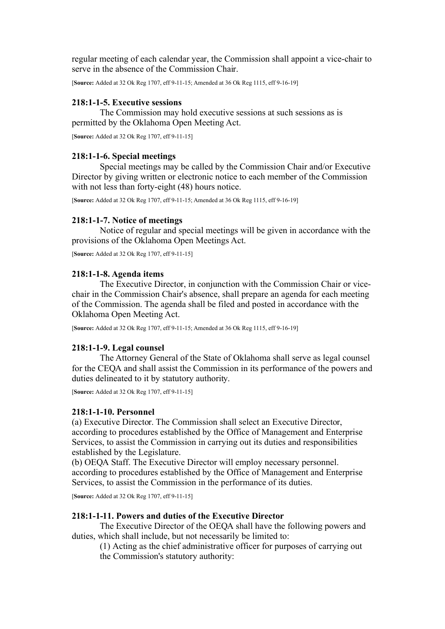regular meeting of each calendar year, the Commission shall appoint a vice-chair to serve in the absence of the Commission Chair.

[**Source:** Added at 32 Ok Reg 1707, eff 9-11-15; Amended at 36 Ok Reg 1115, eff 9-16-19]

## **218:1-1-5. Executive sessions**

The Commission may hold executive sessions at such sessions as is permitted by the Oklahoma Open Meeting Act.

[**Source:** Added at 32 Ok Reg 1707, eff 9-11-15]

### **218:1-1-6. Special meetings**

Special meetings may be called by the Commission Chair and/or Executive Director by giving written or electronic notice to each member of the Commission with not less than forty-eight (48) hours notice.

[**Source:** Added at 32 Ok Reg 1707, eff 9-11-15; Amended at 36 Ok Reg 1115, eff 9-16-19]

## **218:1-1-7. Notice of meetings**

Notice of regular and special meetings will be given in accordance with the provisions of the Oklahoma Open Meetings Act.

[**Source:** Added at 32 Ok Reg 1707, eff 9-11-15]

### **218:1-1-8. Agenda items**

The Executive Director, in conjunction with the Commission Chair or vicechair in the Commission Chair's absence, shall prepare an agenda for each meeting of the Commission. The agenda shall be filed and posted in accordance with the Oklahoma Open Meeting Act.

[**Source:** Added at 32 Ok Reg 1707, eff 9-11-15; Amended at 36 Ok Reg 1115, eff 9-16-19]

## **218:1-1-9. Legal counsel**

The Attorney General of the State of Oklahoma shall serve as legal counsel for the CEQA and shall assist the Commission in its performance of the powers and duties delineated to it by statutory authority.

[**Source:** Added at 32 Ok Reg 1707, eff 9-11-15]

## **218:1-1-10. Personnel**

(a) Executive Director. The Commission shall select an Executive Director, according to procedures established by the Office of Management and Enterprise Services, to assist the Commission in carrying out its duties and responsibilities established by the Legislature.

(b) OEQA Staff. The Executive Director will employ necessary personnel. according to procedures established by the Office of Management and Enterprise Services, to assist the Commission in the performance of its duties.

[**Source:** Added at 32 Ok Reg 1707, eff 9-11-15]

## **218:1-1-11. Powers and duties of the Executive Director**

The Executive Director of the OEQA shall have the following powers and duties, which shall include, but not necessarily be limited to:

(1) Acting as the chief administrative officer for purposes of carrying out the Commission's statutory authority: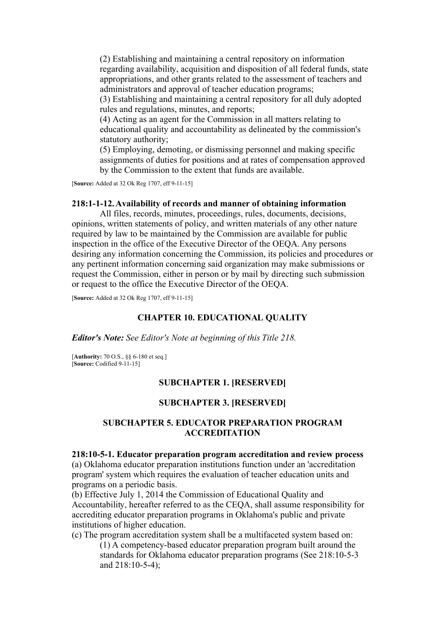(2) Establishing and maintaining a central repository on information regarding availability, acquisition and disposition of all federal funds, state appropriations, and other grants related to the assessment of teachers and administrators and approval of teacher education programs;

(3) Establishing and maintaining a central repository for all duly adopted rules and regulations, minutes, and reports;

(4) Acting as an agent for the Commission in all matters relating to educational quality and accountability as delineated by the commission's statutory authority;

(5) Employing, demoting, or dismissing personnel and making specific assignments of duties for positions and at rates of compensation approved by the Commission to the extent that funds are available.

[**Source:** Added at 32 Ok Reg 1707, eff 9-11-15]

#### **218:1-1-12. Availability of records and manner of obtaining information**

All files, records, minutes, proceedings, rules, documents, decisions, opinions, written statements of policy, and written materials of any other nature required by law to be maintained by the Commission are available for public inspection in the office of the Executive Director of the OEQA. Any persons desiring any information concerning the Commission, its policies and procedures or any pertinent information concerning said organization may make submissions or request the Commission, either in person or by mail by directing such submission or request to the office the Executive Director of the OEQA.

[**Source:** Added at 32 Ok Reg 1707, eff 9-11-15]

#### **CHAPTER 10. EDUCATIONAL QUALITY**

*Editor's Note: See Editor's Note at beginning of this Title 218.*

[**Authority:** 70 O.S., §§ 6-180 et seq.] [**Source:** Codified 9-11-15]

## **SUBCHAPTER 1. [RESERVED]**

#### **SUBCHAPTER 3. [RESERVED]**

## **SUBCHAPTER 5. EDUCATOR PREPARATION PROGRAM ACCREDITATION**

#### **218:10-5-1. Educator preparation program accreditation and review process**

(a) Oklahoma educator preparation institutions function under an 'accreditation program' system which requires the evaluation of teacher education units and programs on a periodic basis.

(b) Effective July 1, 2014 the Commission of Educational Quality and Accountability, hereafter referred to as the CEQA, shall assume responsibility for accrediting educator preparation programs in Oklahoma's public and private institutions of higher education.

(c) The program accreditation system shall be a multifaceted system based on: (1) A competency-based educator preparation program built around the standards for Oklahoma educator preparation programs (See 218:10-5-3 and 218:10-5-4);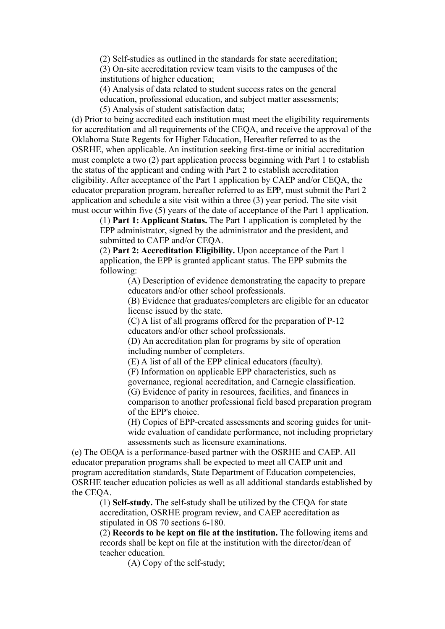(2) Self-studies as outlined in the standards for state accreditation; (3) On-site accreditation review team visits to the campuses of the institutions of higher education;

(4) Analysis of data related to student success rates on the general education, professional education, and subject matter assessments;

(5) Analysis of student satisfaction data;

(d) Prior to being accredited each institution must meet the eligibility requirements for accreditation and all requirements of the CEQA, and receive the approval of the Oklahoma State Regents for Higher Education, Hereafter referred to as the OSRHE, when applicable. An institution seeking first-time or initial accreditation must complete a two (2) part application process beginning with Part 1 to establish the status of the applicant and ending with Part 2 to establish accreditation eligibility. After acceptance of the Part 1 application by CAEP and/or CEQA, the educator preparation program, hereafter referred to as EPP, must submit the Part 2 application and schedule a site visit within a three (3) year period. The site visit must occur within five (5) years of the date of acceptance of the Part 1 application.

(1) **Part 1: Applicant Status.** The Part 1 application is completed by the EPP administrator, signed by the administrator and the president, and submitted to CAEP and/or CEQA.

(2) **Part 2: Accreditation Eligibility.** Upon acceptance of the Part 1 application, the EPP is granted applicant status. The EPP submits the following:

> (A) Description of evidence demonstrating the capacity to prepare educators and/or other school professionals.

> (B) Evidence that graduates/completers are eligible for an educator license issued by the state.

(C) A list of all programs offered for the preparation of P-12 educators and/or other school professionals.

(D) An accreditation plan for programs by site of operation including number of completers.

(E) A list of all of the EPP clinical educators (faculty).

(F) Information on applicable EPP characteristics, such as governance, regional accreditation, and Carnegie classification. (G) Evidence of parity in resources, facilities, and finances in comparison to another professional field based preparation program of the EPP's choice.

(H) Copies of EPP-created assessments and scoring guides for unitwide evaluation of candidate performance, not including proprietary assessments such as licensure examinations.

(e) The OEQA is a performance-based partner with the OSRHE and CAEP. All educator preparation programs shall be expected to meet all CAEP unit and program accreditation standards, State Department of Education competencies, OSRHE teacher education policies as well as all additional standards established by the CEQA.

(1) **Self-study.** The self-study shall be utilized by the CEQA for state accreditation, OSRHE program review, and CAEP accreditation as stipulated in OS 70 sections 6-180.

(2) **Records to be kept on file at the institution.** The following items and records shall be kept on file at the institution with the director/dean of teacher education.

(A) Copy of the self-study;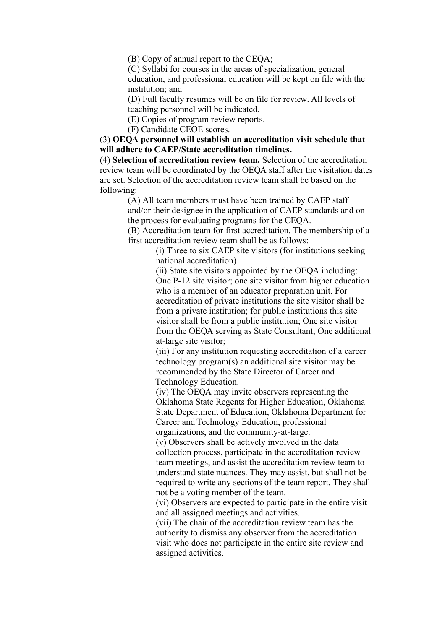(B) Copy of annual report to the CEQA;

(C) Syllabi for courses in the areas of specialization, general education, and professional education will be kept on file with the institution; and

(D) Full faculty resumes will be on file for review. All levels of teaching personnel will be indicated.

(E) Copies of program review reports.

(F) Candidate CEOE scores.

(3) **OEQA personnel will establish an accreditation visit schedule that will adhere to CAEP/State accreditation timelines.**

(4) **Selection of accreditation review team.** Selection of the accreditation review team will be coordinated by the OEQA staff after the visitation dates are set. Selection of the accreditation review team shall be based on the following:

> (A) All team members must have been trained by CAEP staff and/or their designee in the application of CAEP standards and on the process for evaluating programs for the CEQA.

(B) Accreditation team for first accreditation. The membership of a first accreditation review team shall be as follows:

(i) Three to six CAEP site visitors (for institutions seeking national accreditation)

(ii) State site visitors appointed by the OEQA including: One P-12 site visitor; one site visitor from higher education who is a member of an educator preparation unit. For accreditation of private institutions the site visitor shall be from a private institution; for public institutions this site visitor shall be from a public institution; One site visitor from the OEQA serving as State Consultant; One additional at-large site visitor;

(iii) For any institution requesting accreditation of a career technology program(s) an additional site visitor may be recommended by the State Director of Career and Technology Education.

(iv) The OEQA may invite observers representing the Oklahoma State Regents for Higher Education, Oklahoma State Department of Education, Oklahoma Department for Career and Technology Education, professional organizations, and the community-at-large.

(v) Observers shall be actively involved in the data collection process, participate in the accreditation review team meetings, and assist the accreditation review team to understand state nuances. They may assist, but shall not be required to write any sections of the team report. They shall not be a voting member of the team.

(vi) Observers are expected to participate in the entire visit and all assigned meetings and activities.

(vii) The chair of the accreditation review team has the authority to dismiss any observer from the accreditation visit who does not participate in the entire site review and assigned activities.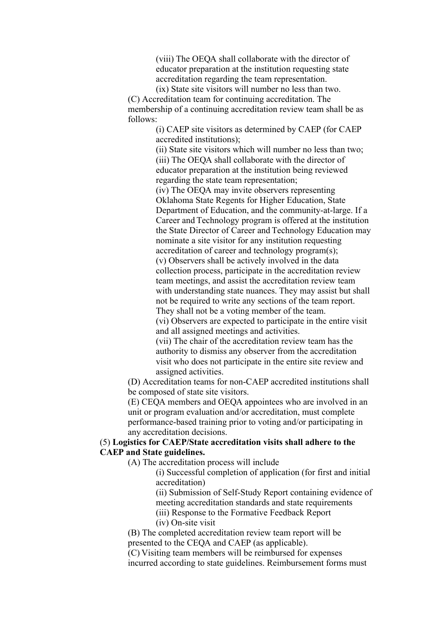(viii) The OEQA shall collaborate with the director of educator preparation at the institution requesting state accreditation regarding the team representation.

(ix) State site visitors will number no less than two. (C) Accreditation team for continuing accreditation. The membership of a continuing accreditation review team shall be as follows:

> (i) CAEP site visitors as determined by CAEP (for CAEP accredited institutions);

> (ii) State site visitors which will number no less than two; (iii) The OEQA shall collaborate with the director of educator preparation at the institution being reviewed regarding the state team representation;

(iv) The OEQA may invite observers representing Oklahoma State Regents for Higher Education, State Department of Education, and the community-at-large. If a Career and Technology program is offered at the institution the State Director of Career and Technology Education may nominate a site visitor for any institution requesting accreditation of career and technology program(s); (v) Observers shall be actively involved in the data collection process, participate in the accreditation review team meetings, and assist the accreditation review team

with understanding state nuances. They may assist but shall not be required to write any sections of the team report.

They shall not be a voting member of the team.

(vi) Observers are expected to participate in the entire visit and all assigned meetings and activities.

(vii) The chair of the accreditation review team has the authority to dismiss any observer from the accreditation visit who does not participate in the entire site review and assigned activities.

(D) Accreditation teams for non-CAEP accredited institutions shall be composed of state site visitors.

(E) CEQA members and OEQA appointees who are involved in an unit or program evaluation and/or accreditation, must complete performance-based training prior to voting and/or participating in any accreditation decisions.

## (5) **Logistics for CAEP/State accreditation visits shall adhere to the CAEP and State guidelines.**

(A) The accreditation process will include

(i) Successful completion of application (for first and initial accreditation)

(ii) Submission of Self-Study Report containing evidence of meeting accreditation standards and state requirements

(iii) Response to the Formative Feedback Report

(iv) On-site visit

(B) The completed accreditation review team report will be presented to the CEQA and CAEP (as applicable).

(C) Visiting team members will be reimbursed for expenses incurred according to state guidelines. Reimbursement forms must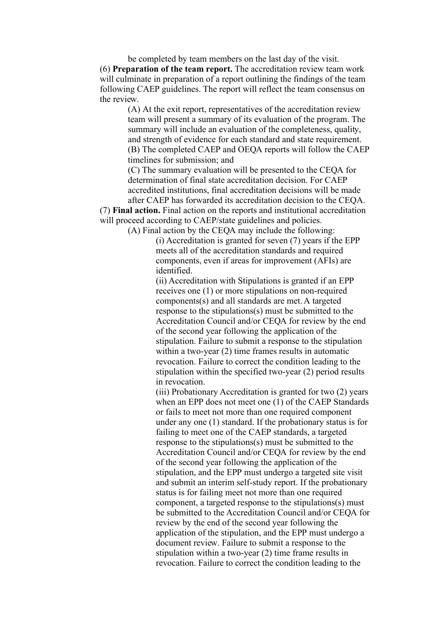be completed by team members on the last day of the visit. (6) **Preparation of the team report.** The accreditation review team work will culminate in preparation of a report outlining the findings of the team following CAEP guidelines. The report will reflect the team consensus on the review.

> (A) At the exit report, representatives of the accreditation review team will present a summary of its evaluation of the program. The summary will include an evaluation of the completeness, quality, and strength of evidence for each standard and state requirement. (B) The completed CAEP and OEQA reports will follow the CAEP timelines for submission; and

(C) The summary evaluation will be presented to the CEQA for determination of final state accreditation decision. For CAEP accredited institutions, final accreditation decisions will be made after CAEP has forwarded its accreditation decision to the CEQA.

(7) **Final action.** Final action on the reports and institutional accreditation will proceed according to CAEP/state guidelines and policies.

(A) Final action by the CEQA may include the following:

(i) Accreditation is granted for seven (7) years if the EPP meets all of the accreditation standards and required components, even if areas for improvement (AFIs) are identified.

(ii) Accreditation with Stipulations is granted if an EPP receives one (1) or more stipulations on non-required components(s) and all standards are met. A targeted response to the stipulations(s) must be submitted to the Accreditation Council and/or CEQA for review by the end of the second year following the application of the stipulation. Failure to submit a response to the stipulation within a two-year (2) time frames results in automatic revocation. Failure to correct the condition leading to the stipulation within the specified two-year (2) period results in revocation.

(iii) Probationary Accreditation is granted for two (2) years when an EPP does not meet one (1) of the CAEP Standards or fails to meet not more than one required component under any one (1) standard. If the probationary status is for failing to meet one of the CAEP standards, a targeted response to the stipulations(s) must be submitted to the Accreditation Council and/or CEQA for review by the end of the second year following the application of the stipulation, and the EPP must undergo a targeted site visit and submit an interim self-study report. If the probationary status is for failing meet not more than one required component, a targeted response to the stipulations(s) must be submitted to the Accreditation Council and/or CEQA for review by the end of the second year following the application of the stipulation, and the EPP must undergo a document review. Failure to submit a response to the stipulation within a two-year (2) time frame results in revocation. Failure to correct the condition leading to the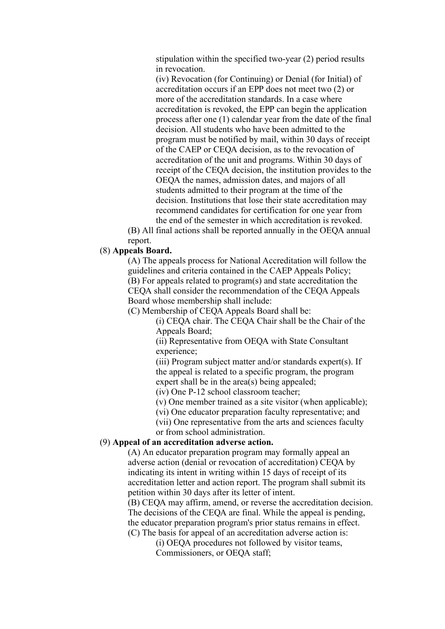stipulation within the specified two-year (2) period results in revocation.

(iv) Revocation (for Continuing) or Denial (for Initial) of accreditation occurs if an EPP does not meet two (2) or more of the accreditation standards. In a case where accreditation is revoked, the EPP can begin the application process after one (1) calendar year from the date of the final decision. All students who have been admitted to the program must be notified by mail, within 30 days of receipt of the CAEP or CEQA decision, as to the revocation of accreditation of the unit and programs. Within 30 days of receipt of the CEQA decision, the institution provides to the OEQA the names, admission dates, and majors of all students admitted to their program at the time of the decision. Institutions that lose their state accreditation may recommend candidates for certification for one year from the end of the semester in which accreditation is revoked.

(B) All final actions shall be reported annually in the OEQA annual report.

## (8) **Appeals Board.**

(A) The appeals process for National Accreditation will follow the guidelines and criteria contained in the CAEP Appeals Policy; (B) For appeals related to program(s) and state accreditation the CEQA shall consider the recommendation of the CEQA Appeals Board whose membership shall include:

(C) Membership of CEQA Appeals Board shall be:

(i) CEQA chair. The CEQA Chair shall be the Chair of the Appeals Board;

(ii) Representative from OEQA with State Consultant experience;

(iii) Program subject matter and/or standards expert(s). If the appeal is related to a specific program, the program expert shall be in the area(s) being appealed;

(iv) One P-12 school classroom teacher;

(v) One member trained as a site visitor (when applicable);

(vi) One educator preparation faculty representative; and

(vii) One representative from the arts and sciences faculty

or from school administration.

# (9) **Appeal of an accreditation adverse action.**

(A) An educator preparation program may formally appeal an adverse action (denial or revocation of accreditation) CEQA by indicating its intent in writing within 15 days of receipt of its accreditation letter and action report. The program shall submit its petition within 30 days after its letter of intent.

(B) CEQA may affirm, amend, or reverse the accreditation decision. The decisions of the CEQA are final. While the appeal is pending, the educator preparation program's prior status remains in effect. (C) The basis for appeal of an accreditation adverse action is:

> (i) OEQA procedures not followed by visitor teams, Commissioners, or OEQA staff;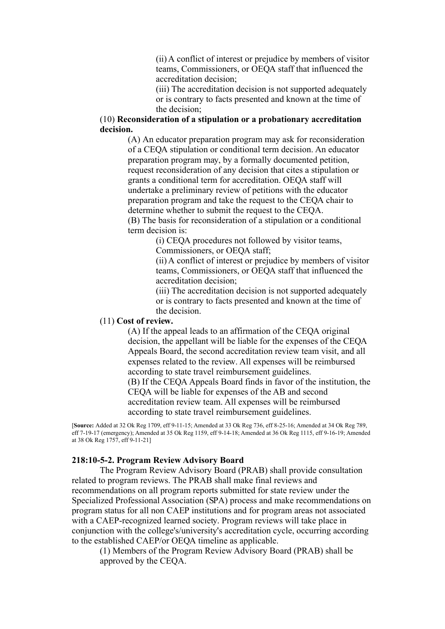(ii) A conflict of interest or prejudice by members of visitor teams, Commissioners, or OEQA staff that influenced the accreditation decision;

(iii) The accreditation decision is not supported adequately or is contrary to facts presented and known at the time of the decision;

## (10) **Reconsideration of a stipulation or a probationary accreditation decision.**

(A) An educator preparation program may ask for reconsideration of a CEQA stipulation or conditional term decision. An educator preparation program may, by a formally documented petition, request reconsideration of any decision that cites a stipulation or grants a conditional term for accreditation. OEQA staff will undertake a preliminary review of petitions with the educator preparation program and take the request to the CEQA chair to determine whether to submit the request to the CEQA. (B) The basis for reconsideration of a stipulation or a conditional term decision is:

> (i) CEQA procedures not followed by visitor teams, Commissioners, or OEQA staff;

(ii) A conflict of interest or prejudice by members of visitor teams, Commissioners, or OEQA staff that influenced the accreditation decision;

(iii) The accreditation decision is not supported adequately or is contrary to facts presented and known at the time of the decision.

### (11) **Cost of review.**

(A) If the appeal leads to an affirmation of the CEQA original decision, the appellant will be liable for the expenses of the CEQA Appeals Board, the second accreditation review team visit, and all expenses related to the review. All expenses will be reimbursed according to state travel reimbursement guidelines. (B) If the CEQA Appeals Board finds in favor of the institution, the CEQA will be liable for expenses of the AB and second accreditation review team. All expenses will be reimbursed according to state travel reimbursement guidelines.

[**Source:** Added at 32 Ok Reg 1709, eff 9-11-15; Amended at 33 Ok Reg 736, eff 8-25-16; Amended at 34 Ok Reg 789, eff 7-19-17 (emergency); Amended at 35 Ok Reg 1159, eff 9-14-18; Amended at 36 Ok Reg 1115, eff 9-16-19; Amended at 38 Ok Reg 1757, eff 9-11-21]

## **218:10-5-2. Program Review Advisory Board**

The Program Review Advisory Board (PRAB) shall provide consultation related to program reviews. The PRAB shall make final reviews and recommendations on all program reports submitted for state review under the Specialized Professional Association (SPA) process and make recommendations on program status for all non CAEP institutions and for program areas not associated with a CAEP-recognized learned society. Program reviews will take place in conjunction with the college's/university's accreditation cycle, occurring according to the established CAEP/or OEQA timeline as applicable.

(1) Members of the Program Review Advisory Board (PRAB) shall be approved by the CEQA.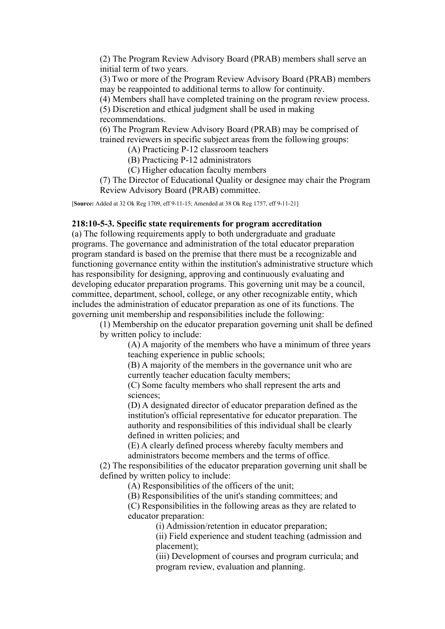(2) The Program Review Advisory Board (PRAB) members shall serve an initial term of two years.

(3) Two or more of the Program Review Advisory Board (PRAB) members may be reappointed to additional terms to allow for continuity.

(4) Members shall have completed training on the program review process.

(5) Discretion and ethical judgment shall be used in making

recommendations.

(6) The Program Review Advisory Board (PRAB) may be comprised of trained reviewers in specific subject areas from the following groups:

(A) Practicing P-12 classroom teachers

(B) Practicing P-12 administrators

(C) Higher education faculty members

(7) The Director of Educational Quality or designee may chair the Program Review Advisory Board (PRAB) committee.

[**Source:** Added at 32 Ok Reg 1709, eff 9-11-15; Amended at 38 Ok Reg 1757, eff 9-11-21]

#### **218:10-5-3. Specific state requirements for program accreditation**

(a) The following requirements apply to both undergraduate and graduate programs. The governance and administration of the total educator preparation program standard is based on the premise that there must be a recognizable and functioning governance entity within the institution's administrative structure which has responsibility for designing, approving and continuously evaluating and developing educator preparation programs. This governing unit may be a council, committee, department, school, college, or any other recognizable entity, which includes the administration of educator preparation as one of its functions. The governing unit membership and responsibilities include the following:

(1) Membership on the educator preparation governing unit shall be defined by written policy to include:

> (A) A majority of the members who have a minimum of three years teaching experience in public schools;

(B) A majority of the members in the governance unit who are currently teacher education faculty members;

(C) Some faculty members who shall represent the arts and sciences;

(D) A designated director of educator preparation defined as the institution's official representative for educator preparation. The authority and responsibilities of this individual shall be clearly defined in written policies; and

(E) A clearly defined process whereby faculty members and administrators become members and the terms of office.

(2) The responsibilities of the educator preparation governing unit shall be defined by written policy to include:

(A) Responsibilities of the officers of the unit;

(B) Responsibilities of the unit's standing committees; and

(C) Responsibilities in the following areas as they are related to educator preparation:

(i) Admission/retention in educator preparation;

(ii) Field experience and student teaching (admission and placement);

(iii) Development of courses and program curricula; and program review, evaluation and planning.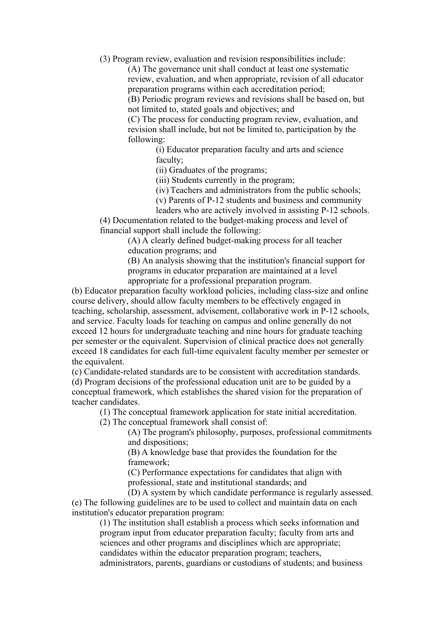(3) Program review, evaluation and revision responsibilities include:

(A) The governance unit shall conduct at least one systematic review, evaluation, and when appropriate, revision of all educator preparation programs within each accreditation period; (B) Periodic program reviews and revisions shall be based on, but

not limited to, stated goals and objectives; and

(C) The process for conducting program review, evaluation, and revision shall include, but not be limited to, participation by the following:

> (i) Educator preparation faculty and arts and science faculty;

(ii) Graduates of the programs;

(iii) Students currently in the program;

(iv) Teachers and administrators from the public schools;

(v) Parents of P-12 students and business and community

leaders who are actively involved in assisting P-12 schools.

(4) Documentation related to the budget-making process and level of financial support shall include the following:

(A) A clearly defined budget-making process for all teacher education programs; and

(B) An analysis showing that the institution's financial support for programs in educator preparation are maintained at a level appropriate for a professional preparation program.

(b) Educator preparation faculty workload policies, including class-size and online course delivery, should allow faculty members to be effectively engaged in teaching, scholarship, assessment, advisement, collaborative work in P-12 schools, and service. Faculty loads for teaching on campus and online generally do not exceed 12 hours for undergraduate teaching and nine hours for graduate teaching per semester or the equivalent. Supervision of clinical practice does not generally exceed 18 candidates for each full-time equivalent faculty member per semester or the equivalent.

(c) Candidate-related standards are to be consistent with accreditation standards.

(d) Program decisions of the professional education unit are to be guided by a conceptual framework, which establishes the shared vision for the preparation of teacher candidates.

(1) The conceptual framework application for state initial accreditation.

(2) The conceptual framework shall consist of:

(A) The program's philosophy, purposes, professional commitments and dispositions;

(B) A knowledge base that provides the foundation for the framework;

(C) Performance expectations for candidates that align with professional, state and institutional standards; and

(D) A system by which candidate performance is regularly assessed.

(e) The following guidelines are to be used to collect and maintain data on each institution's educator preparation program:

(1) The institution shall establish a process which seeks information and program input from educator preparation faculty; faculty from arts and sciences and other programs and disciplines which are appropriate; candidates within the educator preparation program; teachers,

administrators, parents, guardians or custodians of students; and business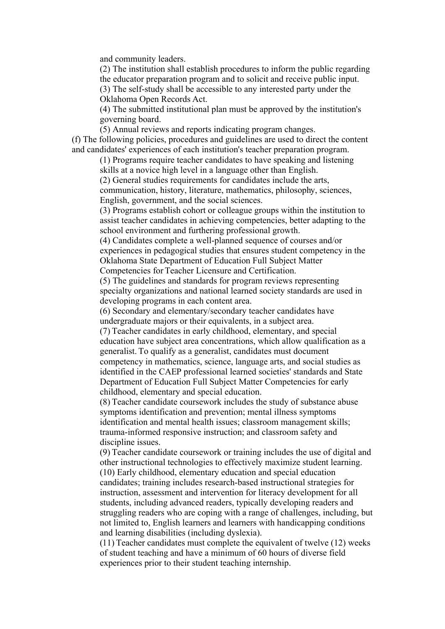and community leaders.

(2) The institution shall establish procedures to inform the public regarding the educator preparation program and to solicit and receive public input. (3) The self-study shall be accessible to any interested party under the

Oklahoma Open Records Act.

(4) The submitted institutional plan must be approved by the institution's governing board.

(5) Annual reviews and reports indicating program changes.

(f) The following policies, procedures and guidelines are used to direct the content and candidates' experiences of each institution's teacher preparation program.

(1) Programs require teacher candidates to have speaking and listening skills at a novice high level in a language other than English.

(2) General studies requirements for candidates include the arts,

communication, history, literature, mathematics, philosophy, sciences, English, government, and the social sciences.

(3) Programs establish cohort or colleague groups within the institution to assist teacher candidates in achieving competencies, better adapting to the school environment and furthering professional growth.

(4) Candidates complete a well-planned sequence of courses and/or experiences in pedagogical studies that ensures student competency in the Oklahoma State Department of Education Full Subject Matter Competencies for Teacher Licensure and Certification.

(5) The guidelines and standards for program reviews representing specialty organizations and national learned society standards are used in developing programs in each content area.

(6) Secondary and elementary/secondary teacher candidates have undergraduate majors or their equivalents, in a subject area.

(7) Teacher candidates in early childhood, elementary, and special education have subject area concentrations, which allow qualification as a generalist. To qualify as a generalist, candidates must document competency in mathematics, science, language arts, and social studies as identified in the CAEP professional learned societies' standards and State Department of Education Full Subject Matter Competencies for early childhood, elementary and special education.

(8) Teacher candidate coursework includes the study of substance abuse symptoms identification and prevention; mental illness symptoms identification and mental health issues; classroom management skills; trauma-informed responsive instruction; and classroom safety and discipline issues.

(9) Teacher candidate coursework or training includes the use of digital and other instructional technologies to effectively maximize student learning. (10) Early childhood, elementary education and special education candidates; training includes research-based instructional strategies for instruction, assessment and intervention for literacy development for all students, including advanced readers, typically developing readers and struggling readers who are coping with a range of challenges, including, but not limited to, English learners and learners with handicapping conditions and learning disabilities (including dyslexia).

(11) Teacher candidates must complete the equivalent of twelve (12) weeks of student teaching and have a minimum of 60 hours of diverse field experiences prior to their student teaching internship.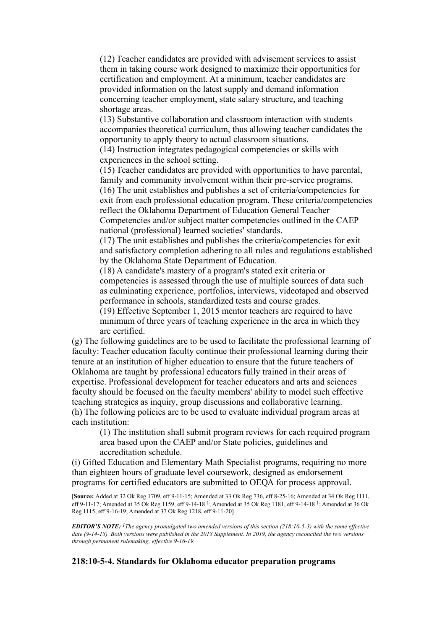(12) Teacher candidates are provided with advisement services to assist them in taking course work designed to maximize their opportunities for certification and employment. At a minimum, teacher candidates are provided information on the latest supply and demand information concerning teacher employment, state salary structure, and teaching shortage areas.

(13) Substantive collaboration and classroom interaction with students accompanies theoretical curriculum, thus allowing teacher candidates the opportunity to apply theory to actual classroom situations.

(14) Instruction integrates pedagogical competencies or skills with experiences in the school setting.

(15) Teacher candidates are provided with opportunities to have parental, family and community involvement within their pre-service programs.

(16) The unit establishes and publishes a set of criteria/competencies for exit from each professional education program. These criteria/competencies reflect the Oklahoma Department of Education General Teacher Competencies and/or subject matter competencies outlined in the CAEP national (professional) learned societies' standards.

(17) The unit establishes and publishes the criteria/competencies for exit and satisfactory completion adhering to all rules and regulations established by the Oklahoma State Department of Education.

(18) A candidate's mastery of a program's stated exit criteria or competencies is assessed through the use of multiple sources of data such as culminating experience, portfolios, interviews, videotaped and observed performance in schools, standardized tests and course grades.

(19) Effective September 1, 2015 mentor teachers are required to have minimum of three years of teaching experience in the area in which they are certified.

(g) The following guidelines are to be used to facilitate the professional learning of faculty: Teacher education faculty continue their professional learning during their tenure at an institution of higher education to ensure that the future teachers of Oklahoma are taught by professional educators fully trained in their areas of expertise. Professional development for teacher educators and arts and sciences faculty should be focused on the faculty members' ability to model such effective teaching strategies as inquiry, group discussions and collaborative learning. (h) The following policies are to be used to evaluate individual program areas at each institution:

(1) The institution shall submit program reviews for each required program area based upon the CAEP and/or State policies, guidelines and accreditation schedule.

(i) Gifted Education and Elementary Math Specialist programs, requiring no more than eighteen hours of graduate level coursework, designed as endorsement programs for certified educators are submitted to OEQA for process approval.

[**Source:** Added at 32 Ok Reg 1709, eff 9-11-15; Amended at 33 Ok Reg 736, eff 8-25-16; Amended at 34 Ok Reg 1111, eff 9-11-17; Amended at 35 Ok Reg 1159, eff 9-14-18 <sup>1</sup>; Amended at 35 Ok Reg 1181, eff 9-14-18 <sup>1</sup>; Amended at 36 Ok Reg 1115, eff 9-16-19; Amended at 37 Ok Reg 1218, eff 9-11-20]

*EDITOR'S NOTE: 1The agency promulgated two amended versions of this section (218:10-5-3) with the same effective date (9-14-18). Both versions were published in the 2018 Supplement. In 2019, the agency reconciled the two versions through permanent rulemaking, effective 9-16-19.*

## **218:10-5-4. Standards for Oklahoma educator preparation programs**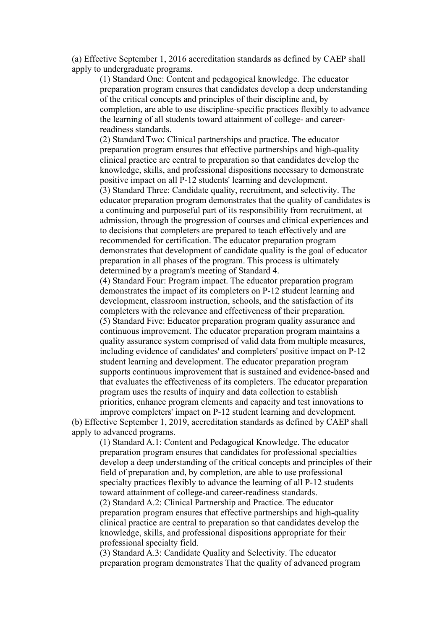(a) Effective September 1, 2016 accreditation standards as defined by CAEP shall apply to undergraduate programs.

(1) Standard One: Content and pedagogical knowledge. The educator preparation program ensures that candidates develop a deep understanding of the critical concepts and principles of their discipline and, by completion, are able to use discipline-specific practices flexibly to advance the learning of all students toward attainment of college- and careerreadiness standards.

(2) Standard Two: Clinical partnerships and practice. The educator preparation program ensures that effective partnerships and high-quality clinical practice are central to preparation so that candidates develop the knowledge, skills, and professional dispositions necessary to demonstrate positive impact on all P-12 students' learning and development. (3) Standard Three: Candidate quality, recruitment, and selectivity. The educator preparation program demonstrates that the quality of candidates is a continuing and purposeful part of its responsibility from recruitment, at admission, through the progression of courses and clinical experiences and to decisions that completers are prepared to teach effectively and are recommended for certification. The educator preparation program demonstrates that development of candidate quality is the goal of educator preparation in all phases of the program. This process is ultimately determined by a program's meeting of Standard 4.

(4) Standard Four: Program impact. The educator preparation program demonstrates the impact of its completers on P-12 student learning and development, classroom instruction, schools, and the satisfaction of its completers with the relevance and effectiveness of their preparation. (5) Standard Five: Educator preparation program quality assurance and continuous improvement. The educator preparation program maintains a quality assurance system comprised of valid data from multiple measures, including evidence of candidates' and completers' positive impact on P-12 student learning and development. The educator preparation program supports continuous improvement that is sustained and evidence-based and that evaluates the effectiveness of its completers. The educator preparation program uses the results of inquiry and data collection to establish priorities, enhance program elements and capacity and test innovations to improve completers' impact on P-12 student learning and development.

(b) Effective September 1, 2019, accreditation standards as defined by CAEP shall apply to advanced programs.

(1) Standard A.1: Content and Pedagogical Knowledge. The educator preparation program ensures that candidates for professional specialties develop a deep understanding of the critical concepts and principles of their field of preparation and, by completion, are able to use professional specialty practices flexibly to advance the learning of all P-12 students toward attainment of college-and career-readiness standards. (2) Standard A.2: Clinical Partnership and Practice. The educator preparation program ensures that effective partnerships and high-quality clinical practice are central to preparation so that candidates develop the knowledge, skills, and professional dispositions appropriate for their professional specialty field.

(3) Standard A.3: Candidate Quality and Selectivity. The educator preparation program demonstrates That the quality of advanced program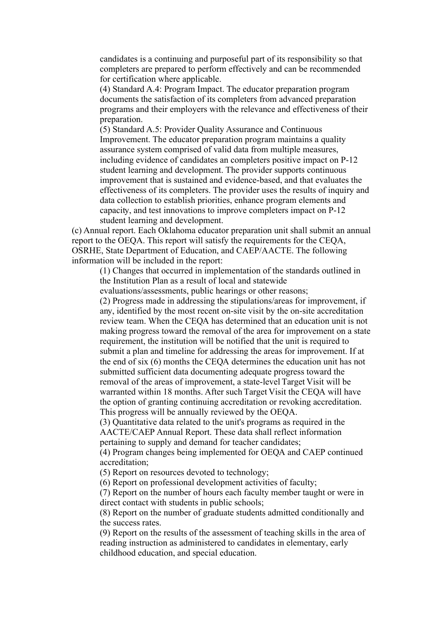candidates is a continuing and purposeful part of its responsibility so that completers are prepared to perform effectively and can be recommended for certification where applicable.

(4) Standard A.4: Program Impact. The educator preparation program documents the satisfaction of its completers from advanced preparation programs and their employers with the relevance and effectiveness of their preparation.

(5) Standard A.5: Provider Quality Assurance and Continuous Improvement. The educator preparation program maintains a quality assurance system comprised of valid data from multiple measures, including evidence of candidates an completers positive impact on P-12 student learning and development. The provider supports continuous improvement that is sustained and evidence-based, and that evaluates the effectiveness of its completers. The provider uses the results of inquiry and data collection to establish priorities, enhance program elements and capacity, and test innovations to improve completers impact on P-12 student learning and development.

(c) Annual report. Each Oklahoma educator preparation unit shall submit an annual report to the OEQA. This report will satisfy the requirements for the CEQA, OSRHE, State Department of Education, and CAEP/AACTE. The following information will be included in the report:

(1) Changes that occurred in implementation of the standards outlined in the Institution Plan as a result of local and statewide

evaluations/assessments, public hearings or other reasons;

(2) Progress made in addressing the stipulations/areas for improvement, if any, identified by the most recent on-site visit by the on-site accreditation review team. When the CEQA has determined that an education unit is not making progress toward the removal of the area for improvement on a state requirement, the institution will be notified that the unit is required to submit a plan and timeline for addressing the areas for improvement. If at the end of six (6) months the CEQA determines the education unit has not submitted sufficient data documenting adequate progress toward the removal of the areas of improvement, a state-level Target Visit will be warranted within 18 months. After such Target Visit the CEQA will have the option of granting continuing accreditation or revoking accreditation. This progress will be annually reviewed by the OEQA.

(3) Quantitative data related to the unit's programs as required in the AACTE/CAEP Annual Report. These data shall reflect information pertaining to supply and demand for teacher candidates;

(4) Program changes being implemented for OEQA and CAEP continued accreditation;

(5) Report on resources devoted to technology;

(6) Report on professional development activities of faculty;

(7) Report on the number of hours each faculty member taught or were in direct contact with students in public schools;

(8) Report on the number of graduate students admitted conditionally and the success rates.

(9) Report on the results of the assessment of teaching skills in the area of reading instruction as administered to candidates in elementary, early childhood education, and special education.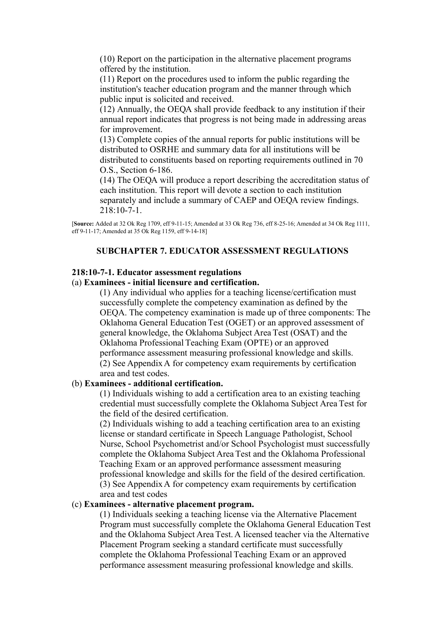(10) Report on the participation in the alternative placement programs offered by the institution.

(11) Report on the procedures used to inform the public regarding the institution's teacher education program and the manner through which public input is solicited and received.

(12) Annually, the OEQA shall provide feedback to any institution if their annual report indicates that progress is not being made in addressing areas for improvement.

(13) Complete copies of the annual reports for public institutions will be distributed to OSRHE and summary data for all institutions will be distributed to constituents based on reporting requirements outlined in 70 O.S., Section 6-186.

(14) The OEQA will produce a report describing the accreditation status of each institution. This report will devote a section to each institution separately and include a summary of CAEP and OEQA review findings. 218:10-7-1.

[**Source:** Added at 32 Ok Reg 1709, eff 9-11-15; Amended at 33 Ok Reg 736, eff 8-25-16; Amended at 34 Ok Reg 1111, eff 9-11-17; Amended at 35 Ok Reg 1159, eff 9-14-18]

### **SUBCHAPTER 7. EDUCATOR ASSESSMENT REGULATIONS**

#### **218:10-7-1. Educator assessment regulations**

#### (a) **Examinees - initial licensure and certification.**

(1) Any individual who applies for a teaching license/certification must successfully complete the competency examination as defined by the OEQA. The competency examination is made up of three components: The Oklahoma General Education Test (OGET) or an approved assessment of general knowledge, the Oklahoma Subject Area Test (OSAT) and the Oklahoma Professional Teaching Exam (OPTE) or an approved performance assessment measuring professional knowledge and skills. (2) See Appendix A for competency exam requirements by certification area and test codes.

## (b) **Examinees - additional certification.**

(1) Individuals wishing to add a certification area to an existing teaching credential must successfully complete the Oklahoma Subject Area Test for the field of the desired certification.

(2) Individuals wishing to add a teaching certification area to an existing license or standard certificate in Speech Language Pathologist, School Nurse, School Psychometrist and/or School Psychologist must successfully complete the Oklahoma Subject Area Test and the Oklahoma Professional Teaching Exam or an approved performance assessment measuring professional knowledge and skills for the field of the desired certification. (3) See Appendix A for competency exam requirements by certification area and test codes

#### (c) **Examinees - alternative placement program.**

(1) Individuals seeking a teaching license via the Alternative Placement Program must successfully complete the Oklahoma General Education Test and the Oklahoma Subject Area Test. A licensed teacher via the Alternative Placement Program seeking a standard certificate must successfully complete the Oklahoma Professional Teaching Exam or an approved performance assessment measuring professional knowledge and skills.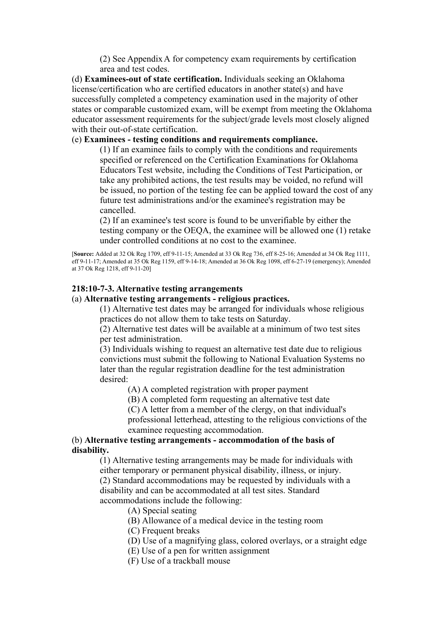(2) See Appendix A for competency exam requirements by certification area and test codes.

(d) **Examinees-out of state certification.** Individuals seeking an Oklahoma license/certification who are certified educators in another state(s) and have successfully completed a competency examination used in the majority of other states or comparable customized exam, will be exempt from meeting the Oklahoma educator assessment requirements for the subject/grade levels most closely aligned with their out-of-state certification.

## (e) **Examinees - testing conditions and requirements compliance.**

(1) If an examinee fails to comply with the conditions and requirements specified or referenced on the Certification Examinations for Oklahoma Educators Test website, including the Conditions of Test Participation, or take any prohibited actions, the test results may be voided, no refund will be issued, no portion of the testing fee can be applied toward the cost of any future test administrations and/or the examinee's registration may be cancelled.

(2) If an examinee's test score is found to be unverifiable by either the testing company or the OEQA, the examinee will be allowed one (1) retake under controlled conditions at no cost to the examinee.

[**Source:** Added at 32 Ok Reg 1709, eff 9-11-15; Amended at 33 Ok Reg 736, eff 8-25-16; Amended at 34 Ok Reg 1111, eff 9-11-17; Amended at 35 Ok Reg 1159, eff 9-14-18; Amended at 36 Ok Reg 1098, eff 6-27-19 (emergency); Amended at 37 Ok Reg 1218, eff 9-11-20]

## **218:10-7-3. Alternative testing arrangements**

## (a) **Alternative testing arrangements - religious practices.**

(1) Alternative test dates may be arranged for individuals whose religious practices do not allow them to take tests on Saturday.

(2) Alternative test dates will be available at a minimum of two test sites per test administration.

(3) Individuals wishing to request an alternative test date due to religious convictions must submit the following to National Evaluation Systems no later than the regular registration deadline for the test administration desired:

(A) A completed registration with proper payment

(B) A completed form requesting an alternative test date

(C) A letter from a member of the clergy, on that individual's

professional letterhead, attesting to the religious convictions of the examinee requesting accommodation.

#### (b) **Alternative testing arrangements - accommodation of the basis of disability.**

(1) Alternative testing arrangements may be made for individuals with either temporary or permanent physical disability, illness, or injury. (2) Standard accommodations may be requested by individuals with a disability and can be accommodated at all test sites. Standard accommodations include the following:

(A) Special seating

(B) Allowance of a medical device in the testing room

(C) Frequent breaks

- (D) Use of a magnifying glass, colored overlays, or a straight edge
- (E) Use of a pen for written assignment
- (F) Use of a trackball mouse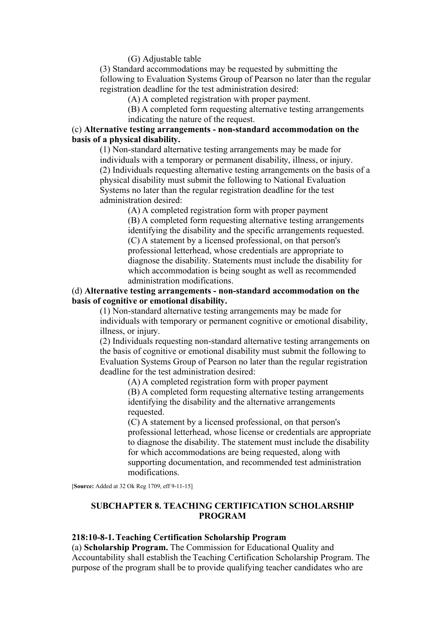(G) Adjustable table

(3) Standard accommodations may be requested by submitting the following to Evaluation Systems Group of Pearson no later than the regular registration deadline for the test administration desired:

(A) A completed registration with proper payment.

(B) A completed form requesting alternative testing arrangements indicating the nature of the request.

## (c) **Alternative testing arrangements - non-standard accommodation on the basis of a physical disability.**

(1) Non-standard alternative testing arrangements may be made for individuals with a temporary or permanent disability, illness, or injury. (2) Individuals requesting alternative testing arrangements on the basis of a physical disability must submit the following to National Evaluation Systems no later than the regular registration deadline for the test administration desired:

(A) A completed registration form with proper payment (B) A completed form requesting alternative testing arrangements identifying the disability and the specific arrangements requested. (C) A statement by a licensed professional, on that person's professional letterhead, whose credentials are appropriate to diagnose the disability. Statements must include the disability for which accommodation is being sought as well as recommended administration modifications.

## (d) **Alternative testing arrangements - non-standard accommodation on the basis of cognitive or emotional disability.**

(1) Non-standard alternative testing arrangements may be made for individuals with temporary or permanent cognitive or emotional disability, illness, or injury.

(2) Individuals requesting non-standard alternative testing arrangements on the basis of cognitive or emotional disability must submit the following to Evaluation Systems Group of Pearson no later than the regular registration deadline for the test administration desired:

> (A) A completed registration form with proper payment (B) A completed form requesting alternative testing arrangements identifying the disability and the alternative arrangements requested.

(C) A statement by a licensed professional, on that person's professional letterhead, whose license or credentials are appropriate to diagnose the disability. The statement must include the disability for which accommodations are being requested, along with supporting documentation, and recommended test administration modifications.

[**Source:** Added at 32 Ok Reg 1709, eff 9-11-15]

## **SUBCHAPTER 8. TEACHING CERTIFICATION SCHOLARSHIP PROGRAM**

#### **218:10-8-1. Teaching Certification Scholarship Program**

(a) **Scholarship Program.** The Commission for Educational Quality and Accountability shall establish the Teaching Certification Scholarship Program. The purpose of the program shall be to provide qualifying teacher candidates who are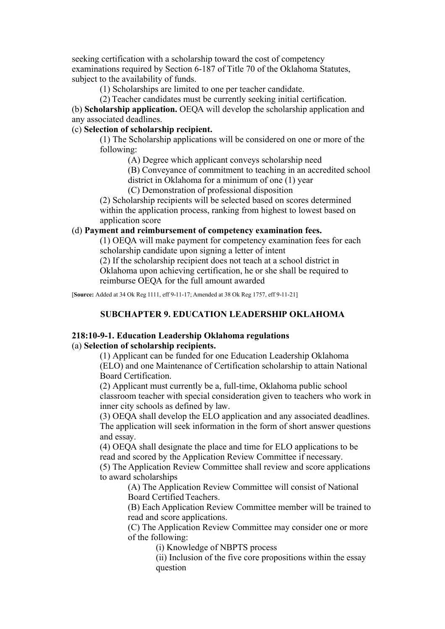seeking certification with a scholarship toward the cost of competency examinations required by Section 6-187 of Title 70 of the Oklahoma Statutes, subject to the availability of funds.

(1) Scholarships are limited to one per teacher candidate.

(2) Teacher candidates must be currently seeking initial certification.

(b) **Scholarship application.** OEQA will develop the scholarship application and any associated deadlines.

# (c) **Selection of scholarship recipient.**

(1) The Scholarship applications will be considered on one or more of the following:

(A) Degree which applicant conveys scholarship need

(B) Conveyance of commitment to teaching in an accredited school district in Oklahoma for a minimum of one (1) year

(C) Demonstration of professional disposition

(2) Scholarship recipients will be selected based on scores determined within the application process, ranking from highest to lowest based on application score

### (d) **Payment and reimbursement of competency examination fees.**

(1) OEQA will make payment for competency examination fees for each scholarship candidate upon signing a letter of intent

(2) If the scholarship recipient does not teach at a school district in Oklahoma upon achieving certification, he or she shall be required to reimburse OEQA for the full amount awarded

[**Source:** Added at 34 Ok Reg 1111, eff 9-11-17; Amended at 38 Ok Reg 1757, eff 9-11-21]

# **SUBCHAPTER 9. EDUCATION LEADERSHIP OKLAHOMA**

## **218:10-9-1. Education Leadership Oklahoma regulations**

#### (a) **Selection of scholarship recipients.**

(1) Applicant can be funded for one Education Leadership Oklahoma (ELO) and one Maintenance of Certification scholarship to attain National Board Certification.

(2) Applicant must currently be a, full-time, Oklahoma public school classroom teacher with special consideration given to teachers who work in inner city schools as defined by law.

(3) OEQA shall develop the ELO application and any associated deadlines. The application will seek information in the form of short answer questions and essay.

(4) OEQA shall designate the place and time for ELO applications to be read and scored by the Application Review Committee if necessary.

(5) The Application Review Committee shall review and score applications to award scholarships

(A) The Application Review Committee will consist of National Board Certified Teachers.

(B) Each Application Review Committee member will be trained to read and score applications.

(C) The Application Review Committee may consider one or more of the following:

(i) Knowledge of NBPTS process

(ii) Inclusion of the five core propositions within the essay question